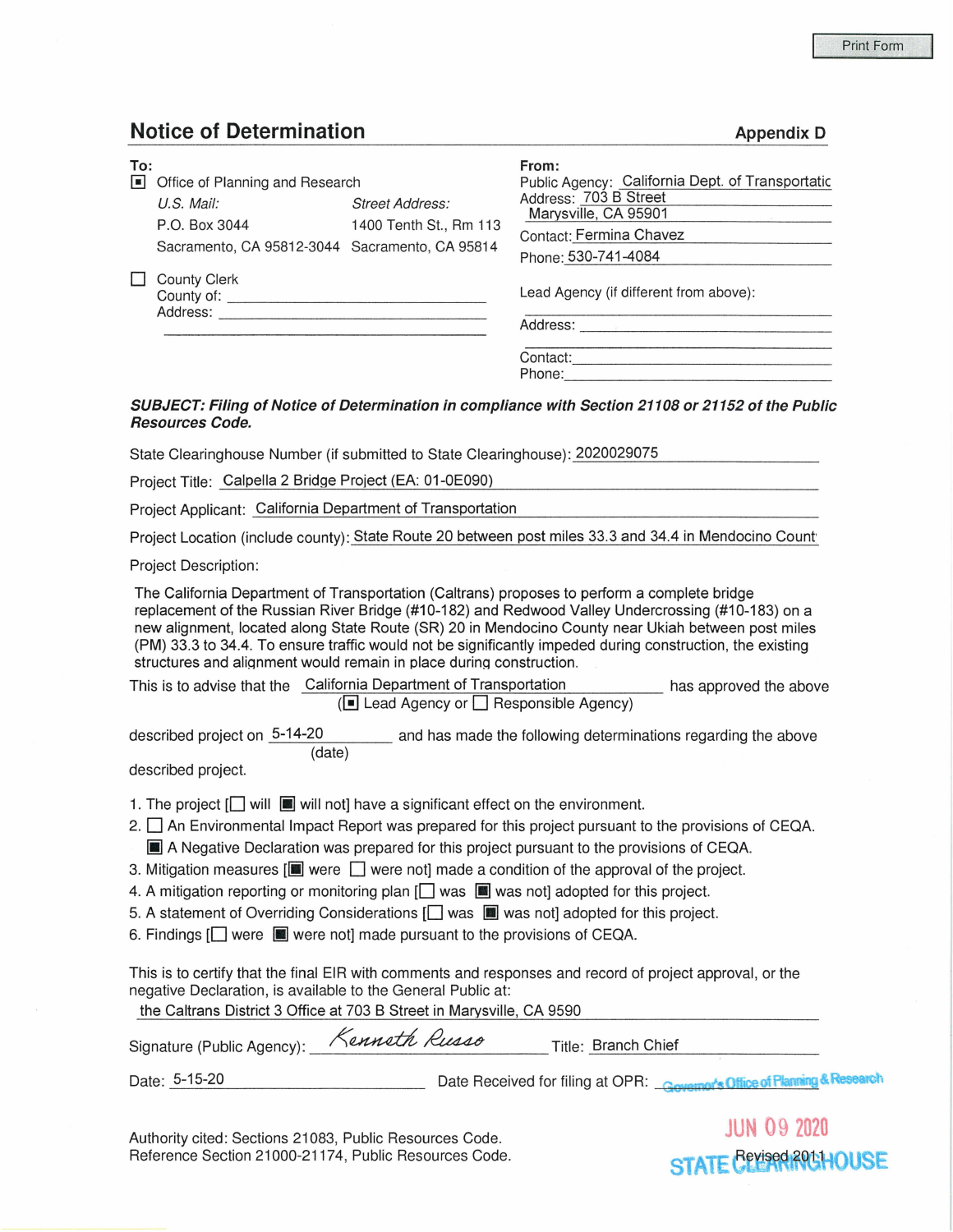## **Notice of Determination Appendix D Appendix D**

| To:<br>$\blacksquare$ | Office of Planning and Research                        |                        | From:<br>Public Agency: California Dept. of Transportatic<br>Address: 703 B Street |  |  |  |  |
|-----------------------|--------------------------------------------------------|------------------------|------------------------------------------------------------------------------------|--|--|--|--|
|                       | U.S. Mail:                                             | <b>Street Address:</b> | Marysville, CA 95901                                                               |  |  |  |  |
|                       | P.O. Box 3044                                          | 1400 Tenth St., Rm 113 | Contact: Fermina Chavez                                                            |  |  |  |  |
|                       | Sacramento, CA 95812-3044 Sacramento, CA 95814         |                        | Phone: 530-741-4084                                                                |  |  |  |  |
|                       | County Clerk<br>County of: _______________<br>Address: |                        | Lead Agency (if different from above):<br>Address:                                 |  |  |  |  |
|                       |                                                        |                        | Contact:<br>Phone:                                                                 |  |  |  |  |

## **SUBJECT: Filing of Notice of Determination in compliance with Section 21108 or 21152 of the Public Resources Code.**

State Clearinghouse Number (if submitted to State Clearinghouse): 2020029075

Project Title: Calpella 2 Bridge Project (EA: 01-0E090)

Project Applicant: California Department of Transportation

Project Location (include county): State Route 20 between post miles 33.3 and 34.4 in Mendocino Count

Project Description:

The California Department of Transportation (Caltrans) proposes to perform a complete bridge replacement of the Russian River Bridge (#10-182) and Redwood Valley Undercrossing (#10-183) on a new alignment, located along State Route (SR) 20 in Mendocino County near Ukiah between post miles (PM) 33.3 to 34.4. To ensure traffic would not be significantly impeded during construction, the existing structures and aliqnment would remain in place durinq construction.

| This is to advise that the California Department of Transportation | has approved the above |
|--------------------------------------------------------------------|------------------------|
| $(\blacksquare$ Lead Agency or $\blacksquare$ Responsible Agency)  |                        |

described project on  $5-14-20$  and has made the following determinations regarding the above (date)

described project.

1. The project  $\Box$  will  $\Box$  will not] have a significant effect on the environment.

- 2.  $\square$  An Environmental Impact Report was prepared for this project pursuant to the provisions of CEQA.  $\blacksquare$  A Negative Declaration was prepared for this project pursuant to the provisions of CEQA.
- 3. Mitigation measures  $[\blacksquare]$  were  $\Box$  were not] made a condition of the approval of the project.
- 4. A mitigation reporting or monitoring plan  $\Box$  was  $\Box$  was not adopted for this project.
- 5. A statement of Overriding Considerations  $\Box$  was  $\Box$  was not] adopted for this project.
- 6. Findings [□ were were not] made pursuant to the provisions of CEQA.

This is to certify that the final EIR with comments and responses and record of project approval, or the negative Declaration, is available to the General Public at:

the Caltrans District 3 Office at 703 B Street in Marysville, CA 9590

| Signature (Public Agency): | Kenneth Russo | Title: Branch Chief                                                      |  |
|----------------------------|---------------|--------------------------------------------------------------------------|--|
| Date: 5-15-20              |               | Date Received for filing at OPR: Company's Office of Planning & Research |  |

Authority cited: Sections 21083, Public Resources Code. Reference Section 21000-21174, Public Resources Code.

**JUN** 09 **<sup>2020</sup> STATE CLEAR ROLHOUSE**